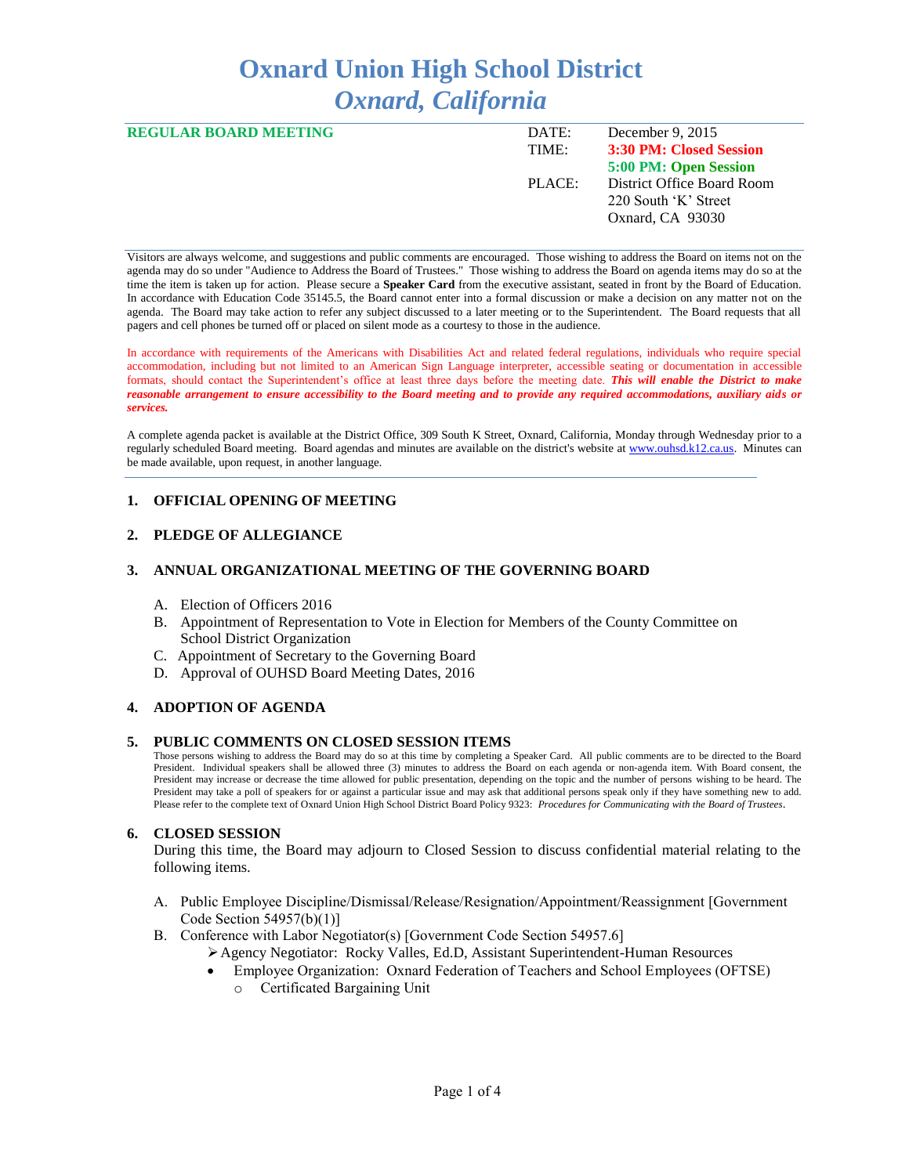# **Oxnard Union High School District** *Oxnard, California*

| <b>REGULAR BOARD MEETING</b> | DATE:  | December 9, $2015$         |
|------------------------------|--------|----------------------------|
|                              | TIME:  | 3:30 PM: Closed Session    |
|                              |        | 5:00 PM: Open Session      |
|                              | PLACE: | District Office Board Room |
|                              |        | 220 South 'K' Street       |
|                              |        | Oxnard, CA 93030           |
|                              |        |                            |

Visitors are always welcome, and suggestions and public comments are encouraged. Those wishing to address the Board on items not on the agenda may do so under "Audience to Address the Board of Trustees." Those wishing to address the Board on agenda items may do so at the time the item is taken up for action. Please secure a **Speaker Card** from the executive assistant, seated in front by the Board of Education. In accordance with Education Code 35145.5, the Board cannot enter into a formal discussion or make a decision on any matter not on the agenda. The Board may take action to refer any subject discussed to a later meeting or to the Superintendent. The Board requests that all pagers and cell phones be turned off or placed on silent mode as a courtesy to those in the audience.

In accordance with requirements of the Americans with Disabilities Act and related federal regulations, individuals who require special accommodation, including but not limited to an American Sign Language interpreter, accessible seating or documentation in accessible formats, should contact the Superintendent's office at least three days before the meeting date. *This will enable the District to make reasonable arrangement to ensure accessibility to the Board meeting and to provide any required accommodations, auxiliary aids or services.* 

A complete agenda packet is available at the District Office, 309 South K Street, Oxnard, California, Monday through Wednesday prior to a regularly scheduled Board meeting. Board agendas and minutes are available on the district's website a[t www.ouhsd.k12.ca.us.](http://www.ouhsd.k12.ca.us/)Minutes can be made available, upon request, in another language.

## **1. OFFICIAL OPENING OF MEETING**

## **2. PLEDGE OF ALLEGIANCE**

#### **3. ANNUAL ORGANIZATIONAL MEETING OF THE GOVERNING BOARD**

- A. Election of Officers 2016
- B. Appointment of Representation to Vote in Election for Members of the County Committee on School District Organization
- C. Appointment of Secretary to the Governing Board
- D. Approval of OUHSD Board Meeting Dates, 2016

## **4. ADOPTION OF AGENDA**

#### **5. PUBLIC COMMENTS ON CLOSED SESSION ITEMS**

Those persons wishing to address the Board may do so at this time by completing a Speaker Card. All public comments are to be directed to the Board President. Individual speakers shall be allowed three (3) minutes to address the Board on each agenda or non-agenda item. With Board consent, the President may increase or decrease the time allowed for public presentation, depending on the topic and the number of persons wishing to be heard. The President may take a poll of speakers for or against a particular issue and may ask that additional persons speak only if they have something new to add. Please refer to the complete text of Oxnard Union High School District Board Policy 9323: *Procedures for Communicating with the Board of Trustees*.

## **6. CLOSED SESSION**

During this time, the Board may adjourn to Closed Session to discuss confidential material relating to the following items.

- A. Public Employee Discipline/Dismissal/Release/Resignation/Appointment/Reassignment [Government Code Section 54957(b)(1)]
- B. Conference with Labor Negotiator(s) [Government Code Section 54957.6]
	- Agency Negotiator: Rocky Valles, Ed.D, Assistant Superintendent-Human Resources
	- Employee Organization: Oxnard Federation of Teachers and School Employees (OFTSE)
		- o Certificated Bargaining Unit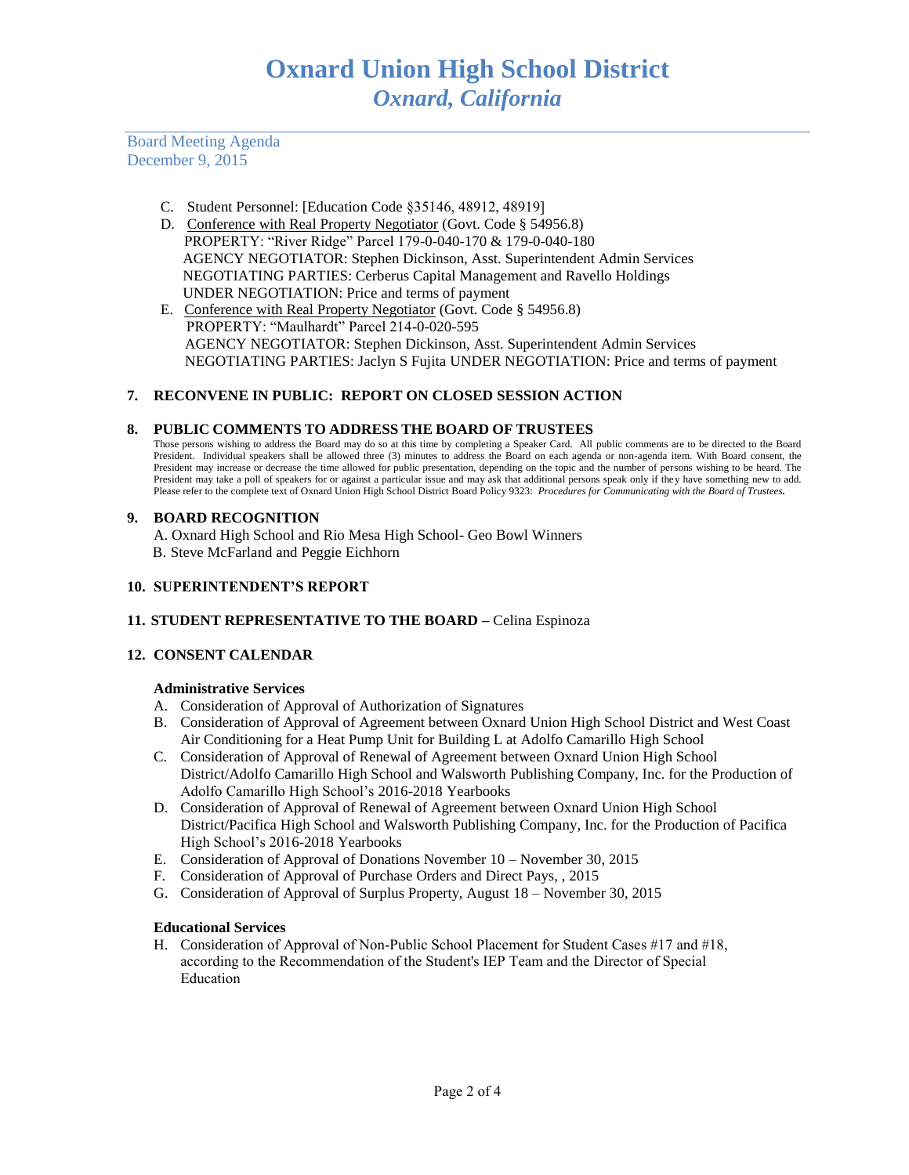Board Meeting Agenda December 9, 2015

- C. Student Personnel: [Education Code §35146, 48912, 48919]
- D. Conference with Real Property Negotiator (Govt. Code § 54956.8) PROPERTY: "River Ridge" Parcel 179-0-040-170 & 179-0-040-180 AGENCY NEGOTIATOR: Stephen Dickinson, Asst. Superintendent Admin Services NEGOTIATING PARTIES: Cerberus Capital Management and Ravello Holdings UNDER NEGOTIATION: Price and terms of payment
- E. Conference with Real Property Negotiator (Govt. Code § 54956.8) PROPERTY: "Maulhardt" Parcel 214-0-020-595 AGENCY NEGOTIATOR: Stephen Dickinson, Asst. Superintendent Admin Services NEGOTIATING PARTIES: Jaclyn S Fujita UNDER NEGOTIATION: Price and terms of payment

## **7. RECONVENE IN PUBLIC: REPORT ON CLOSED SESSION ACTION**

## **8. PUBLIC COMMENTS TO ADDRESS THE BOARD OF TRUSTEES**

Those persons wishing to address the Board may do so at this time by completing a Speaker Card. All public comments are to be directed to the Board President. Individual speakers shall be allowed three (3) minutes to address the Board on each agenda or non-agenda item. With Board consent, the President may increase or decrease the time allowed for public presentation, depending on the topic and the number of persons wishing to be heard. The President may take a poll of speakers for or against a particular issue and may ask that additional persons speak only if they have something new to add. Please refer to the complete text of Oxnard Union High School District Board Policy 9323: *Procedures for Communicating with the Board of Trustees.*

## **9. BOARD RECOGNITION**

A. Oxnard High School and Rio Mesa High School- Geo Bowl Winners B. Steve McFarland and Peggie Eichhorn

## **10. SUPERINTENDENT'S REPORT**

## **11. STUDENT REPRESENTATIVE TO THE BOARD –** Celina Espinoza

## **12. CONSENT CALENDAR**

## **Administrative Services**

- A. Consideration of Approval of Authorization of Signatures
- B. Consideration of Approval of Agreement between Oxnard Union High School District and West Coast Air Conditioning for a Heat Pump Unit for Building L at Adolfo Camarillo High School
- C. Consideration of Approval of Renewal of Agreement between Oxnard Union High School District/Adolfo Camarillo High School and Walsworth Publishing Company, Inc. for the Production of Adolfo Camarillo High School's 2016-2018 Yearbooks
- D. Consideration of Approval of Renewal of Agreement between Oxnard Union High School District/Pacifica High School and Walsworth Publishing Company, Inc. for the Production of Pacifica High School's 2016-2018 Yearbooks
- E. Consideration of Approval of Donations November 10 November 30, 2015
- F. Consideration of Approval of Purchase Orders and Direct Pays, , 2015
- G. Consideration of Approval of Surplus Property, August 18 November 30, 2015

#### **Educational Services**

H. Consideration of Approval of Non-Public School Placement for Student Cases #17 and #18, according to the Recommendation of the Student's IEP Team and the Director of Special Education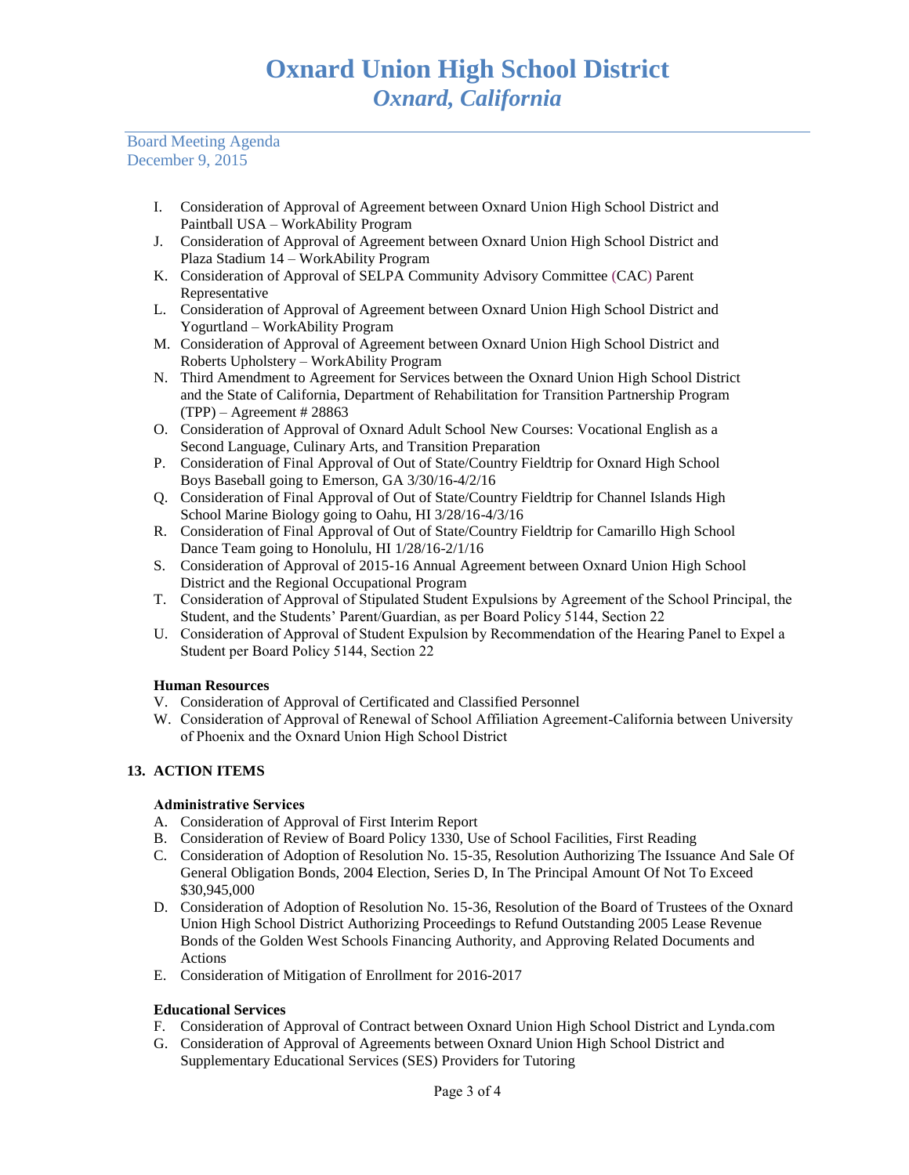Board Meeting Agenda December 9, 2015

- I. Consideration of Approval of Agreement between Oxnard Union High School District and Paintball USA – WorkAbility Program
- J. Consideration of Approval of Agreement between Oxnard Union High School District and Plaza Stadium 14 – WorkAbility Program
- K. Consideration of Approval of SELPA Community Advisory Committee (CAC) Parent Representative
- L. Consideration of Approval of Agreement between Oxnard Union High School District and Yogurtland – WorkAbility Program
- M. Consideration of Approval of Agreement between Oxnard Union High School District and Roberts Upholstery – WorkAbility Program
- N. Third Amendment to Agreement for Services between the Oxnard Union High School District and the State of California, Department of Rehabilitation for Transition Partnership Program  $(TPP)$  – Agreement # 28863
- O. Consideration of Approval of Oxnard Adult School New Courses: Vocational English as a Second Language, Culinary Arts, and Transition Preparation
- P. Consideration of Final Approval of Out of State/Country Fieldtrip for Oxnard High School Boys Baseball going to Emerson, GA 3/30/16-4/2/16
- Q. Consideration of Final Approval of Out of State/Country Fieldtrip for Channel Islands High School Marine Biology going to Oahu, HI 3/28/16-4/3/16
- R. Consideration of Final Approval of Out of State/Country Fieldtrip for Camarillo High School Dance Team going to Honolulu, HI 1/28/16-2/1/16
- S. Consideration of Approval of 2015-16 Annual Agreement between Oxnard Union High School District and the Regional Occupational Program
- T. Consideration of Approval of Stipulated Student Expulsions by Agreement of the School Principal, the Student, and the Students' Parent/Guardian, as per Board Policy 5144, Section 22
- U. Consideration of Approval of Student Expulsion by Recommendation of the Hearing Panel to Expel a Student per Board Policy 5144, Section 22

# **Human Resources**

- V. Consideration of Approval of Certificated and Classified Personnel
- W. Consideration of Approval of Renewal of School Affiliation Agreement-California between University of Phoenix and the Oxnard Union High School District

# **13. ACTION ITEMS**

## **Administrative Services**

- A. Consideration of Approval of First Interim Report
- B. Consideration of Review of Board Policy 1330, Use of School Facilities, First Reading
- C. Consideration of Adoption of Resolution No. 15-35, Resolution Authorizing The Issuance And Sale Of General Obligation Bonds, 2004 Election, Series D, In The Principal Amount Of Not To Exceed \$30,945,000
- D. Consideration of Adoption of Resolution No. 15-36, Resolution of the Board of Trustees of the Oxnard Union High School District Authorizing Proceedings to Refund Outstanding 2005 Lease Revenue Bonds of the Golden West Schools Financing Authority, and Approving Related Documents and Actions
- E. Consideration of Mitigation of Enrollment for 2016-2017

## **Educational Services**

- F. Consideration of Approval of Contract between Oxnard Union High School District and Lynda.com
- G. Consideration of Approval of Agreements between Oxnard Union High School District and Supplementary Educational Services (SES) Providers for Tutoring